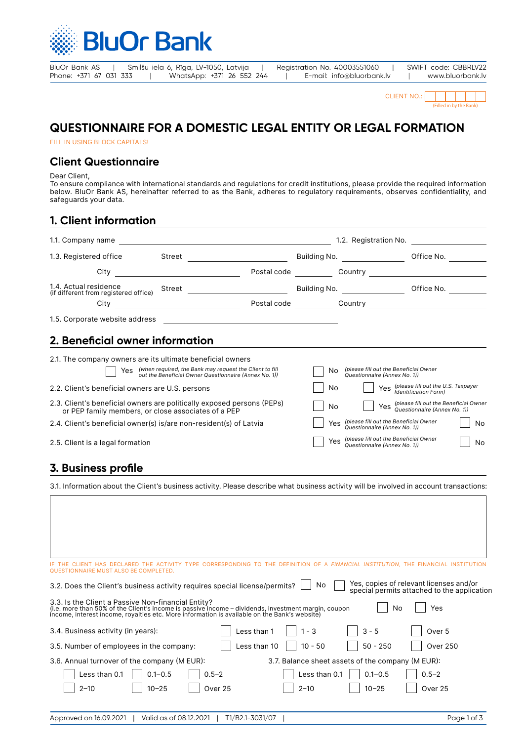

| BluOr Bank AS          | Smilšu iela 6, Rīga, LV-1050, Latvija |                           |  | Registration No. 40003551060 | SWIFT code: CBBRLV22 |
|------------------------|---------------------------------------|---------------------------|--|------------------------------|----------------------|
| Phone: +371 67 031 333 |                                       | WhatsApp: +371 26 552 244 |  | E-mail: info@bluorbank.lv    | www.bluorbank.lv     |

| <b>CLIENT NO.:</b> |  |  |                         |  |
|--------------------|--|--|-------------------------|--|
|                    |  |  | (Filled in by the Bank) |  |

## **QUESTIONNAIRE FOR A DOMESTIC LEGAL ENTITY OR LEGAL FORMATION**

FILL IN USING BLOCK CAPITALS!

### **Client Questionnaire**

Dear Client,

To ensure compliance with international standards and regulations for credit institutions, please provide the required information below. BluOr Bank AS, hereinafter referred to as the Bank, adheres to regulatory requirements, observes confidentiality, and safeguards your data.

### **1. Client information**

| 1.1. Company name                                                                                                                                                                                                                                                                                                                                                                                                                                                                                                                                                                                                                                                                                  |                                                                                                                      |                             |                                                         |                                                                                                                                                                                                                             | 1.2. Registration No. <b>2008</b>                                                                                                                                  |
|----------------------------------------------------------------------------------------------------------------------------------------------------------------------------------------------------------------------------------------------------------------------------------------------------------------------------------------------------------------------------------------------------------------------------------------------------------------------------------------------------------------------------------------------------------------------------------------------------------------------------------------------------------------------------------------------------|----------------------------------------------------------------------------------------------------------------------|-----------------------------|---------------------------------------------------------|-----------------------------------------------------------------------------------------------------------------------------------------------------------------------------------------------------------------------------|--------------------------------------------------------------------------------------------------------------------------------------------------------------------|
| 1.3. Registered office                                                                                                                                                                                                                                                                                                                                                                                                                                                                                                                                                                                                                                                                             | Street <b>Executive Street</b>                                                                                       |                             |                                                         |                                                                                                                                                                                                                             |                                                                                                                                                                    |
|                                                                                                                                                                                                                                                                                                                                                                                                                                                                                                                                                                                                                                                                                                    |                                                                                                                      |                             |                                                         |                                                                                                                                                                                                                             |                                                                                                                                                                    |
| 1.4. Actual residence<br>(if different from registered office)                                                                                                                                                                                                                                                                                                                                                                                                                                                                                                                                                                                                                                     |                                                                                                                      |                             |                                                         |                                                                                                                                                                                                                             | Building No. ___________________________Office No. ____________                                                                                                    |
|                                                                                                                                                                                                                                                                                                                                                                                                                                                                                                                                                                                                                                                                                                    |                                                                                                                      |                             |                                                         |                                                                                                                                                                                                                             |                                                                                                                                                                    |
| 1.5. Corporate website address                                                                                                                                                                                                                                                                                                                                                                                                                                                                                                                                                                                                                                                                     |                                                                                                                      |                             |                                                         |                                                                                                                                                                                                                             |                                                                                                                                                                    |
| 2. Beneficial owner information                                                                                                                                                                                                                                                                                                                                                                                                                                                                                                                                                                                                                                                                    |                                                                                                                      |                             |                                                         |                                                                                                                                                                                                                             |                                                                                                                                                                    |
| 2.1. The company owners are its ultimate beneficial owners<br>2.2. Client's beneficial owners are U.S. persons<br>2.3. Client's beneficial owners are politically exposed persons (PEPs)<br>or PEP family members, or close associates of a PEP<br>2.4. Client's beneficial owner(s) is/are non-resident(s) of Latvia<br>2.5. Client is a legal formation<br>3. Business profile<br>3.1. Information about the Client's business activity. Please describe what business activity will be involved in account transactions:                                                                                                                                                                        | Yes (when required, the Bank may request the Client to fill<br>out the Beneficial Owner Questionnaire (Annex No. 1)) |                             | No.<br>No<br>No<br>Yes                                  | (please fill out the Beneficial Owner<br>Questionnaire (Annex No. 1))<br>(please fill out the Beneficial Owner<br>Questionnaire (Annex No. 1))<br>Yes (please fill out the Beneficial Owner<br>Questionnaire (Annex No. 1)) | Yes (please fill out the U.S. Taxpayer<br><b>Identification Form)</b><br>Yes (please fill out the Beneficial Owner<br>Yes Questionnaire (Annex No. 1))<br>No<br>No |
| IF THE CLIENT HAS DECLARED THE ACTIVITY TYPE CORRESPONDING TO THE DEFINITION OF A FINANCIAL INSTITUTION, THE FINANCIAL INSTITUTION<br>QUESTIONNAIRE MUST ALSO BE COMPLETED.<br>3.2. Does the Client's business activity requires special license/permits?<br>3.3. Is the Client a Passive Non-financial Entity?<br>(i.e. more than 50% of the Client's income is passive income – dividends, investment margin, coupon<br>income, interest income, royalties etc. More information is available on the Bank's website)<br>3.4. Business activity (in years):<br>3.5. Number of employees in the company:<br>3.6. Annual turnover of the company (M EUR):<br>Less than 0.1<br>$2 - 10$<br>$10 - 25$ | $0.1 - 0.5$<br>$0.5 - 2$<br>Over 25                                                                                  | Less than 1<br>Less than 10 | No<br>$1 - 3$<br>$10 - 50$<br>Less than 0.1<br>$2 - 10$ | No<br>$3 - 5$<br>$50 - 250$<br>3.7. Balance sheet assets of the company (M EUR):<br>$0.1 - 0.5$<br>$10 - 25$                                                                                                                | Yes, copies of relevant licenses and/or<br>special permits attached to the application<br>Yes<br>Over 5<br><b>Over 250</b><br>$0.5 - 2$<br>Over 25                 |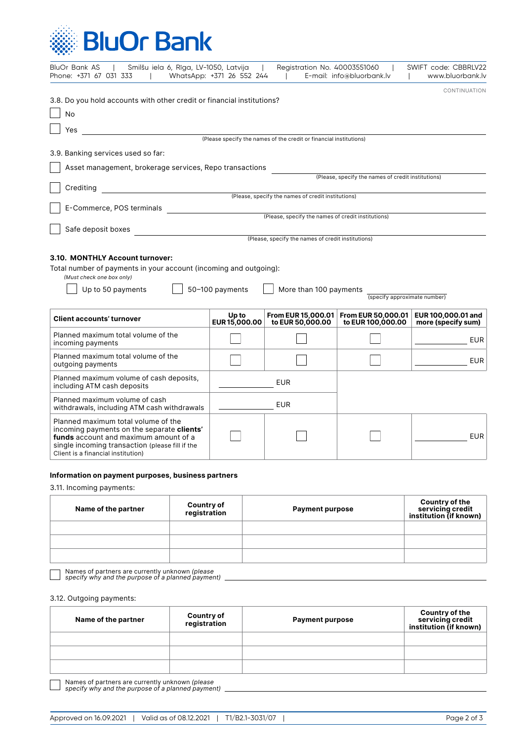

| BluOr Bank AS<br>Smilšu iela 6, Rīga, LV-1050, Latvija<br>Phone: +371 67 031 333<br>$\Box$                                                                                                                                 | WhatsApp: +371 26 552 244 | Registration No. 40003551060                       | E-mail: info@bluorbank.lv                          | SWIFT code: CBBRLV22<br>www.bluorbank.lv |  |  |
|----------------------------------------------------------------------------------------------------------------------------------------------------------------------------------------------------------------------------|---------------------------|----------------------------------------------------|----------------------------------------------------|------------------------------------------|--|--|
| 3.8. Do you hold accounts with other credit or financial institutions?                                                                                                                                                     |                           |                                                    |                                                    | CONTINUATION                             |  |  |
| No                                                                                                                                                                                                                         |                           |                                                    |                                                    |                                          |  |  |
| Yes<br>(Please specify the names of the credit or financial institutions)                                                                                                                                                  |                           |                                                    |                                                    |                                          |  |  |
|                                                                                                                                                                                                                            |                           |                                                    |                                                    |                                          |  |  |
| 3.9. Banking services used so far:                                                                                                                                                                                         |                           |                                                    |                                                    |                                          |  |  |
| Asset management, brokerage services, Repo transactions                                                                                                                                                                    |                           |                                                    | (Please, specify the names of credit institutions) |                                          |  |  |
| Crediting<br>(Please, specify the names of credit institutions)                                                                                                                                                            |                           |                                                    |                                                    |                                          |  |  |
|                                                                                                                                                                                                                            |                           |                                                    |                                                    |                                          |  |  |
| E-Commerce, POS terminals                                                                                                                                                                                                  |                           |                                                    |                                                    |                                          |  |  |
|                                                                                                                                                                                                                            |                           | (Please, specify the names of credit institutions) |                                                    |                                          |  |  |
| Safe deposit boxes<br><u> 1989 - Jan Stein Stein Stein Stein Stein Stein Stein Stein Stein Stein Stein Stein Stein Stein Stein Stein S</u>                                                                                 |                           | (Please, specify the names of credit institutions) |                                                    |                                          |  |  |
| 3.10. MONTHLY Account turnover:<br>Total number of payments in your account (incoming and outgoing):<br>(Must check one box only)<br>Up to 50 payments                                                                     | 50-100 payments           | More than 100 payments                             | (specify approximate number)                       |                                          |  |  |
| <b>Client accounts' turnover</b>                                                                                                                                                                                           | Up to<br>EUR15,000.00     | From EUR 15,000.01<br>to EUR 50,000.00             | From EUR 50,000.01<br>to EUR 100,000.00            | EUR 100,000.01 and<br>more (specify sum) |  |  |
| Planned maximum total volume of the<br>incoming payments                                                                                                                                                                   |                           |                                                    |                                                    | <b>EUR</b>                               |  |  |
| Planned maximum total volume of the<br>outgoing payments                                                                                                                                                                   |                           |                                                    |                                                    | <b>EUR</b>                               |  |  |
| Planned maximum volume of cash deposits,<br><b>EUR</b><br>including ATM cash deposits                                                                                                                                      |                           |                                                    |                                                    |                                          |  |  |
| Planned maximum volume of cash<br>withdrawals, including ATM cash withdrawals                                                                                                                                              |                           | <b>EUR</b>                                         |                                                    |                                          |  |  |
| Planned maximum total volume of the<br>incoming payments on the separate clients'<br><b>funds</b> account and maximum amount of a<br>single incoming transaction (please fill if the<br>Client is a financial institution) |                           |                                                    |                                                    | <b>EUR</b>                               |  |  |

#### **Information on payment purposes, business partners**

3.11. Incoming payments:

| <b>Country of<br/>registration</b> | <b>Payment purpose</b> | <b>Country of the<br/>servicing credit<br/>institution (if known)</b> |
|------------------------------------|------------------------|-----------------------------------------------------------------------|
|                                    |                        |                                                                       |
|                                    |                        |                                                                       |
|                                    |                        |                                                                       |
|                                    |                        |                                                                       |

Names of partners are currently unknown *(please specify why and the purpose of a planned payment)*

3.12. Outgoing payments:

| Name of the partner | <b>Country of</b><br>registration | <b>Payment purpose</b> | <b>Country of the<br/>servicing credit<br/>institution (if known)</b> |
|---------------------|-----------------------------------|------------------------|-----------------------------------------------------------------------|
|                     |                                   |                        |                                                                       |
|                     |                                   |                        |                                                                       |
|                     |                                   |                        |                                                                       |

Names of partners are currently unknown *(please specify why and the purpose of a planned payment)*